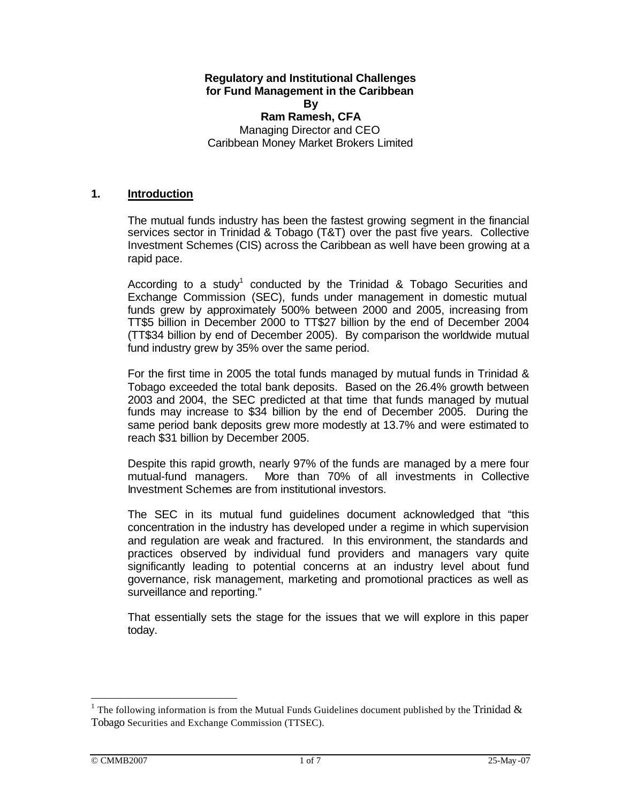# **Regulatory and Institutional Challenges for Fund Management in the Caribbean By**

**Ram Ramesh, CFA** Managing Director and CEO Caribbean Money Market Brokers Limited

#### **1. Introduction**

The mutual funds industry has been the fastest growing segment in the financial services sector in Trinidad & Tobago (T&T) over the past five years. Collective Investment Schemes (CIS) across the Caribbean as well have been growing at a rapid pace.

According to a study<sup>1</sup> conducted by the Trinidad & Tobago Securities and Exchange Commission (SEC), funds under management in domestic mutual funds grew by approximately 500% between 2000 and 2005, increasing from TT\$5 billion in December 2000 to TT\$27 billion by the end of December 2004 (TT\$34 billion by end of December 2005). By comparison the worldwide mutual fund industry grew by 35% over the same period.

For the first time in 2005 the total funds managed by mutual funds in Trinidad & Tobago exceeded the total bank deposits. Based on the 26.4% growth between 2003 and 2004, the SEC predicted at that time that funds managed by mutual funds may increase to \$34 billion by the end of December 2005. During the same period bank deposits grew more modestly at 13.7% and were estimated to reach \$31 billion by December 2005.

Despite this rapid growth, nearly 97% of the funds are managed by a mere four mutual-fund managers. More than 70% of all investments in Collective Investment Schemes are from institutional investors.

The SEC in its mutual fund guidelines document acknowledged that "this concentration in the industry has developed under a regime in which supervision and regulation are weak and fractured. In this environment, the standards and practices observed by individual fund providers and managers vary quite significantly leading to potential concerns at an industry level about fund governance, risk management, marketing and promotional practices as well as surveillance and reporting."

That essentially sets the stage for the issues that we will explore in this paper today.

 $\overline{a}$ 

<sup>&</sup>lt;sup>1</sup> The following information is from the Mutual Funds Guidelines document published by the Trinidad  $\&$ Tobago Securities and Exchange Commission (TTSEC).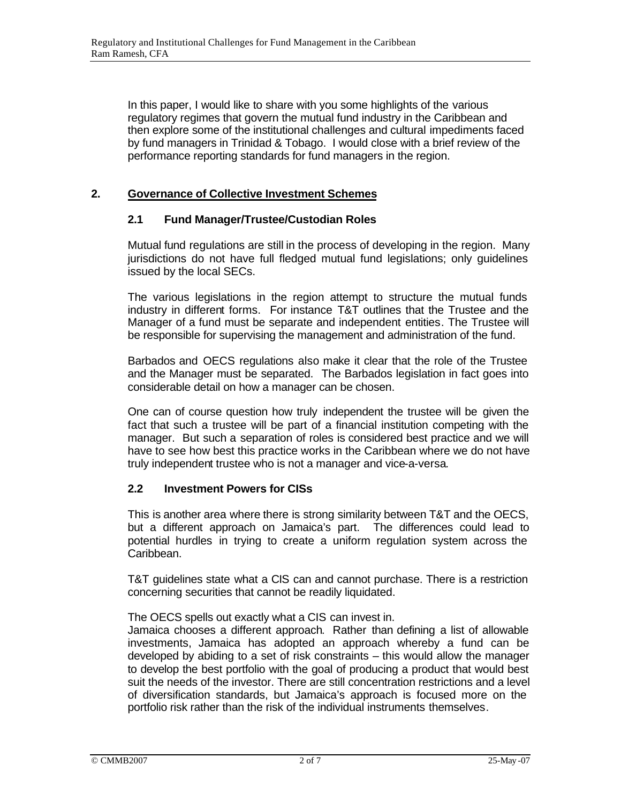In this paper, I would like to share with you some highlights of the various regulatory regimes that govern the mutual fund industry in the Caribbean and then explore some of the institutional challenges and cultural impediments faced by fund managers in Trinidad & Tobago. I would close with a brief review of the performance reporting standards for fund managers in the region.

# **2. Governance of Collective Investment Schemes**

### **2.1 Fund Manager/Trustee/Custodian Roles**

Mutual fund regulations are still in the process of developing in the region. Many jurisdictions do not have full fledged mutual fund legislations; only guidelines issued by the local SECs.

The various legislations in the region attempt to structure the mutual funds industry in different forms. For instance T&T outlines that the Trustee and the Manager of a fund must be separate and independent entities. The Trustee will be responsible for supervising the management and administration of the fund.

Barbados and OECS regulations also make it clear that the role of the Trustee and the Manager must be separated. The Barbados legislation in fact goes into considerable detail on how a manager can be chosen.

One can of course question how truly independent the trustee will be given the fact that such a trustee will be part of a financial institution competing with the manager. But such a separation of roles is considered best practice and we will have to see how best this practice works in the Caribbean where we do not have truly independent trustee who is not a manager and vice-a-versa.

### **2.2 Investment Powers for CISs**

This is another area where there is strong similarity between T&T and the OECS, but a different approach on Jamaica's part. The differences could lead to potential hurdles in trying to create a uniform regulation system across the Caribbean.

T&T guidelines state what a CIS can and cannot purchase. There is a restriction concerning securities that cannot be readily liquidated.

The OECS spells out exactly what a CIS can invest in.

Jamaica chooses a different approach. Rather than defining a list of allowable investments, Jamaica has adopted an approach whereby a fund can be developed by abiding to a set of risk constraints – this would allow the manager to develop the best portfolio with the goal of producing a product that would best suit the needs of the investor. There are still concentration restrictions and a level of diversification standards, but Jamaica's approach is focused more on the portfolio risk rather than the risk of the individual instruments themselves.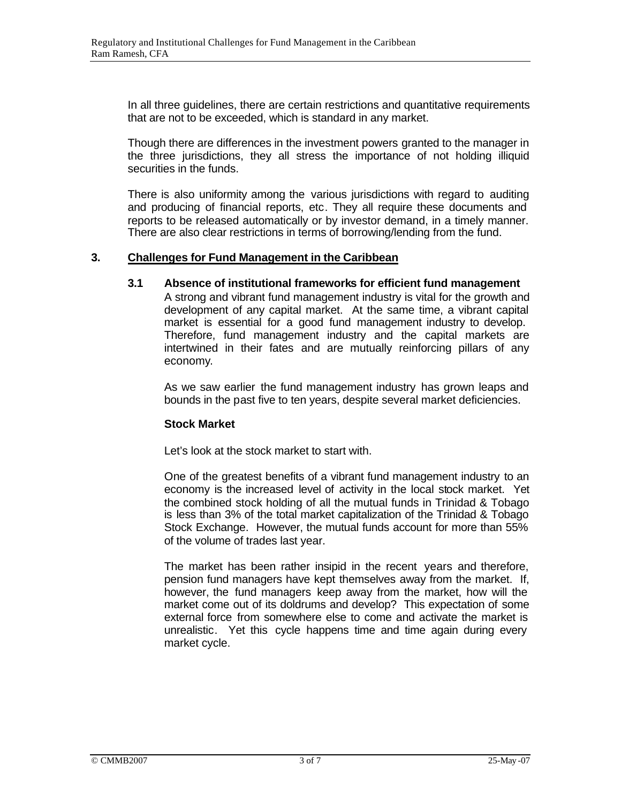In all three guidelines, there are certain restrictions and quantitative requirements that are not to be exceeded, which is standard in any market.

Though there are differences in the investment powers granted to the manager in the three jurisdictions, they all stress the importance of not holding illiquid securities in the funds.

There is also uniformity among the various jurisdictions with regard to auditing and producing of financial reports, etc. They all require these documents and reports to be released automatically or by investor demand, in a timely manner. There are also clear restrictions in terms of borrowing/lending from the fund.

### **3. Challenges for Fund Management in the Caribbean**

**3.1 Absence of institutional frameworks for efficient fund management** A strong and vibrant fund management industry is vital for the growth and development of any capital market. At the same time, a vibrant capital market is essential for a good fund management industry to develop. Therefore, fund management industry and the capital markets are intertwined in their fates and are mutually reinforcing pillars of any economy.

As we saw earlier the fund management industry has grown leaps and bounds in the past five to ten years, despite several market deficiencies.

#### **Stock Market**

Let's look at the stock market to start with.

One of the greatest benefits of a vibrant fund management industry to an economy is the increased level of activity in the local stock market. Yet the combined stock holding of all the mutual funds in Trinidad & Tobago is less than 3% of the total market capitalization of the Trinidad & Tobago Stock Exchange. However, the mutual funds account for more than 55% of the volume of trades last year.

The market has been rather insipid in the recent years and therefore, pension fund managers have kept themselves away from the market. If, however, the fund managers keep away from the market, how will the market come out of its doldrums and develop? This expectation of some external force from somewhere else to come and activate the market is unrealistic. Yet this cycle happens time and time again during every market cycle.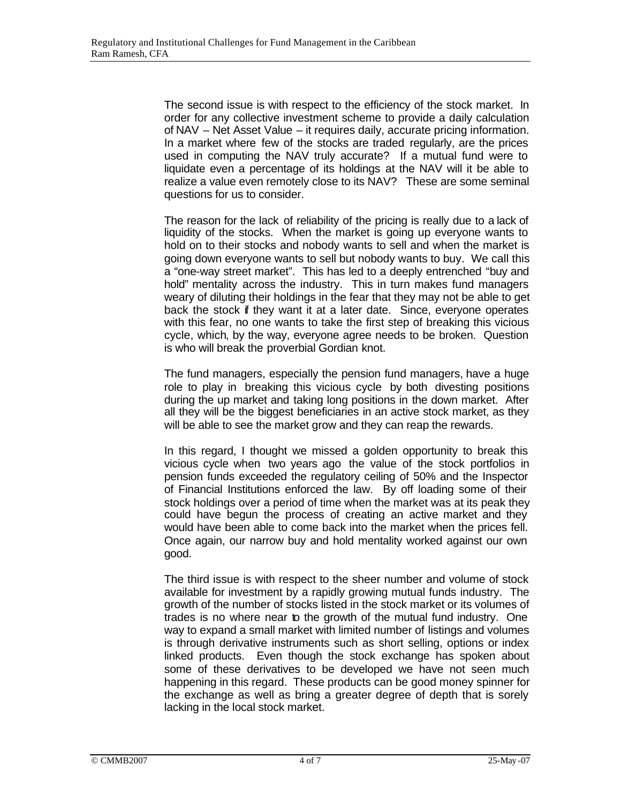The second issue is with respect to the efficiency of the stock market. In order for any collective investment scheme to provide a daily calculation of NAV – Net Asset Value – it requires daily, accurate pricing information. In a market where few of the stocks are traded regularly, are the prices used in computing the NAV truly accurate? If a mutual fund were to liquidate even a percentage of its holdings at the NAV will it be able to realize a value even remotely close to its NAV? These are some seminal questions for us to consider.

The reason for the lack of reliability of the pricing is really due to a lack of liquidity of the stocks. When the market is going up everyone wants to hold on to their stocks and nobody wants to sell and when the market is going down everyone wants to sell but nobody wants to buy. We call this a "one-way street market". This has led to a deeply entrenched "buy and hold" mentality across the industry. This in turn makes fund managers weary of diluting their holdings in the fear that they may not be able to get back the stock if they want it at a later date. Since, everyone operates with this fear, no one wants to take the first step of breaking this vicious cycle, which, by the way, everyone agree needs to be broken. Question is who will break the proverbial Gordian knot.

The fund managers, especially the pension fund managers, have a huge role to play in breaking this vicious cycle by both divesting positions during the up market and taking long positions in the down market. After all they will be the biggest beneficiaries in an active stock market, as they will be able to see the market grow and they can reap the rewards.

In this regard, I thought we missed a golden opportunity to break this vicious cycle when two years ago the value of the stock portfolios in pension funds exceeded the regulatory ceiling of 50% and the Inspector of Financial Institutions enforced the law. By off loading some of their stock holdings over a period of time when the market was at its peak they could have begun the process of creating an active market and they would have been able to come back into the market when the prices fell. Once again, our narrow buy and hold mentality worked against our own good.

The third issue is with respect to the sheer number and volume of stock available for investment by a rapidly growing mutual funds industry. The growth of the number of stocks listed in the stock market or its volumes of trades is no where near to the growth of the mutual fund industry. One way to expand a small market with limited number of listings and volumes is through derivative instruments such as short selling, options or index linked products. Even though the stock exchange has spoken about some of these derivatives to be developed we have not seen much happening in this regard. These products can be good money spinner for the exchange as well as bring a greater degree of depth that is sorely lacking in the local stock market.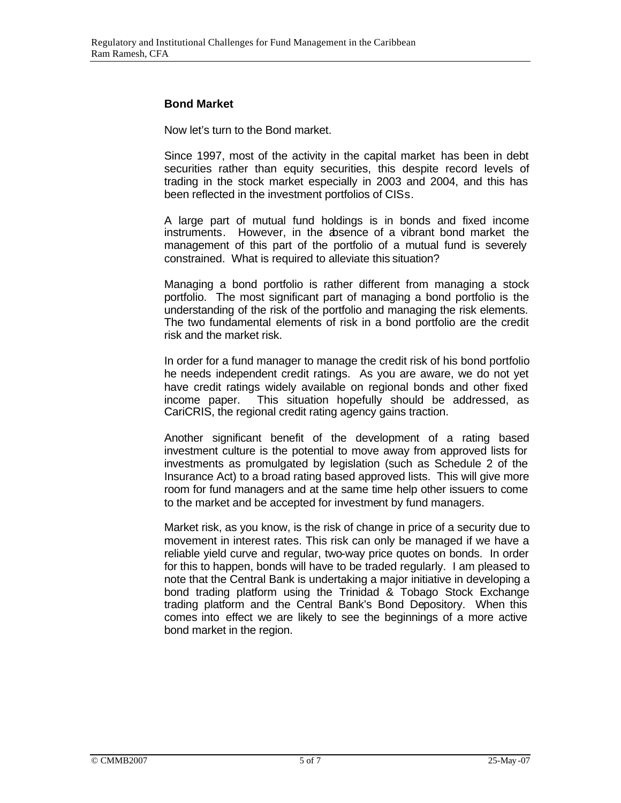# **Bond Market**

Now let's turn to the Bond market.

Since 1997, most of the activity in the capital market has been in debt securities rather than equity securities, this despite record levels of trading in the stock market especially in 2003 and 2004, and this has been reflected in the investment portfolios of CISs.

A large part of mutual fund holdings is in bonds and fixed income instruments. However, in the absence of a vibrant bond market the management of this part of the portfolio of a mutual fund is severely constrained. What is required to alleviate this situation?

Managing a bond portfolio is rather different from managing a stock portfolio. The most significant part of managing a bond portfolio is the understanding of the risk of the portfolio and managing the risk elements. The two fundamental elements of risk in a bond portfolio are the credit risk and the market risk.

In order for a fund manager to manage the credit risk of his bond portfolio he needs independent credit ratings. As you are aware, we do not yet have credit ratings widely available on regional bonds and other fixed income paper. This situation hopefully should be addressed, as CariCRIS, the regional credit rating agency gains traction.

Another significant benefit of the development of a rating based investment culture is the potential to move away from approved lists for investments as promulgated by legislation (such as Schedule 2 of the Insurance Act) to a broad rating based approved lists. This will give more room for fund managers and at the same time help other issuers to come to the market and be accepted for investment by fund managers.

Market risk, as you know, is the risk of change in price of a security due to movement in interest rates. This risk can only be managed if we have a reliable yield curve and regular, two-way price quotes on bonds. In order for this to happen, bonds will have to be traded regularly. I am pleased to note that the Central Bank is undertaking a major initiative in developing a bond trading platform using the Trinidad & Tobago Stock Exchange trading platform and the Central Bank's Bond Depository. When this comes into effect we are likely to see the beginnings of a more active bond market in the region.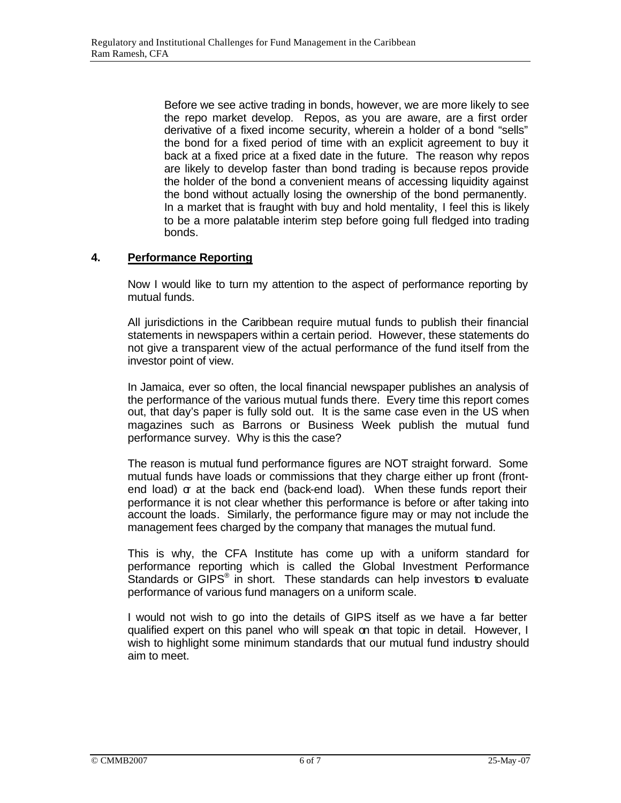Before we see active trading in bonds, however, we are more likely to see the repo market develop. Repos, as you are aware, are a first order derivative of a fixed income security, wherein a holder of a bond "sells" the bond for a fixed period of time with an explicit agreement to buy it back at a fixed price at a fixed date in the future. The reason why repos are likely to develop faster than bond trading is because repos provide the holder of the bond a convenient means of accessing liquidity against the bond without actually losing the ownership of the bond permanently. In a market that is fraught with buy and hold mentality, I feel this is likely to be a more palatable interim step before going full fledged into trading bonds.

# **4. Performance Reporting**

Now I would like to turn my attention to the aspect of performance reporting by mutual funds.

All jurisdictions in the Caribbean require mutual funds to publish their financial statements in newspapers within a certain period. However, these statements do not give a transparent view of the actual performance of the fund itself from the investor point of view.

In Jamaica, ever so often, the local financial newspaper publishes an analysis of the performance of the various mutual funds there. Every time this report comes out, that day's paper is fully sold out. It is the same case even in the US when magazines such as Barrons or Business Week publish the mutual fund performance survey. Why is this the case?

The reason is mutual fund performance figures are NOT straight forward. Some mutual funds have loads or commissions that they charge either up front (frontend load) or at the back end (back-end load). When these funds report their performance it is not clear whether this performance is before or after taking into account the loads. Similarly, the performance figure may or may not include the management fees charged by the company that manages the mutual fund.

This is why, the CFA Institute has come up with a uniform standard for performance reporting which is called the Global Investment Performance Standards or GIPS<sup>®</sup> in short. These standards can help investors to evaluate performance of various fund managers on a uniform scale.

I would not wish to go into the details of GIPS itself as we have a far better qualified expert on this panel who will speak on that topic in detail. However, I wish to highlight some minimum standards that our mutual fund industry should aim to meet.